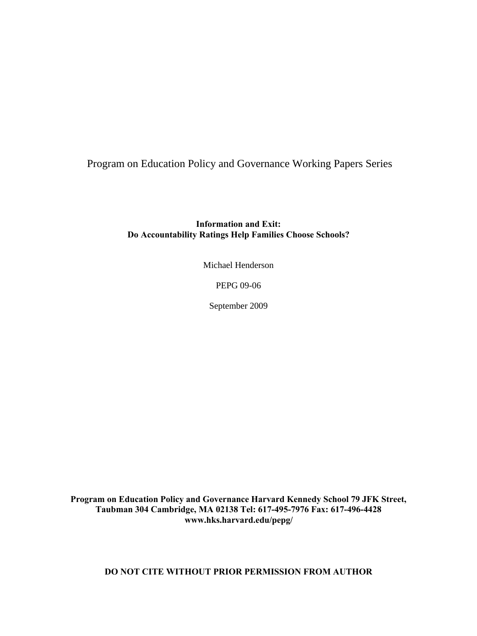Program on Education Policy and Governance Working Papers Series

**Information and Exit: Do Accountability Ratings Help Families Choose Schools?** 

Michael Henderson

PEPG 09-06

September 2009

**Program on Education Policy and Governance Harvard Kennedy School 79 JFK Street, Taubman 304 Cambridge, MA 02138 Tel: 617-495-7976 Fax: 617-496-4428 www.hks.harvard.edu/pepg/** 

**DO NOT CITE WITHOUT PRIOR PERMISSION FROM AUTHOR**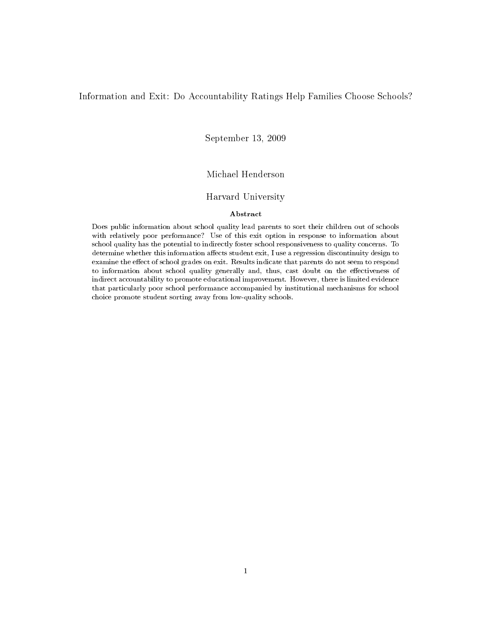### Information and Exit: Do Accountability Ratings Help Families Choose Schools?

September 13, 2009

# Michael Henderson

# Harvard University

### Abstract

Does public information about school quality lead parents to sort their children out of schools with relatively poor performance? Use of this exit option in response to information about school quality has the potential to indirectly foster school responsiveness to quality concerns. To determine whether this information affects student exit, I use a regression discontinuity design to examine the effect of school grades on exit. Results indicate that parents do not seem to respond to information about school quality generally and, thus, cast doubt on the effectiveness of indirect accountability to promote educational improvement. However, there is limited evidence that particularly poor school performance accompanied by institutional mechanisms for school choice promote student sorting away from low-quality schools.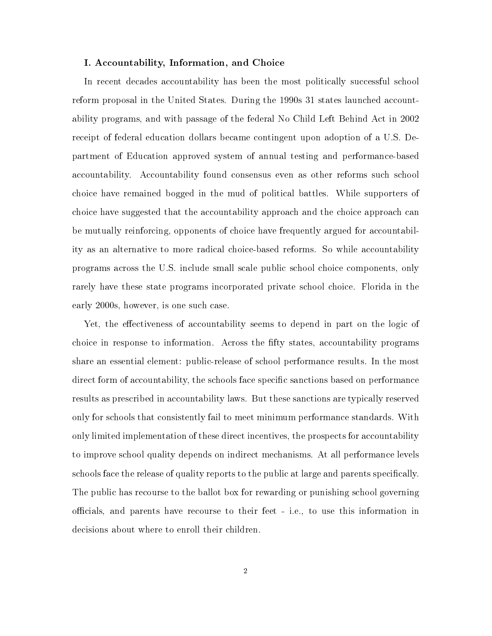### I. Accountability, Information, and Choice

In recent decades accountability has been the most politically successful school reform proposal in the United States. During the 1990s 31 states launched accountability programs, and with passage of the federal No Child Left Behind Act in 2002 receipt of federal education dollars became contingent upon adoption of a U.S. Department of Education approved system of annual testing and performance-based accountability. Accountability found consensus even as other reforms such school choice have remained bogged in the mud of political battles. While supporters of choice have suggested that the accountability approach and the choice approach can be mutually reinforcing, opponents of choice have frequently argued for accountability as an alternative to more radical choice-based reforms. So while accountability programs across the U.S. include small scale public school choice components, only rarely have these state programs incorporated private school choice. Florida in the early 2000s, however, is one such case.

Yet, the effectiveness of accountability seems to depend in part on the logic of choice in response to information. Across the fifty states, accountability programs share an essential element: public-release of school performance results. In the most direct form of accountability, the schools face specific sanctions based on performance results as prescribed in accountability laws. But these sanctions are typically reserved only for schools that consistently fail to meet minimum performance standards. With only limited implementation of these direct incentives, the prospects for accountability to improve school quality depends on indirect mechanisms. At all performance levels schools face the release of quality reports to the public at large and parents specifically. The public has recourse to the ballot box for rewarding or punishing school governing officials, and parents have recourse to their feet - i.e., to use this information in decisions about where to enroll their children.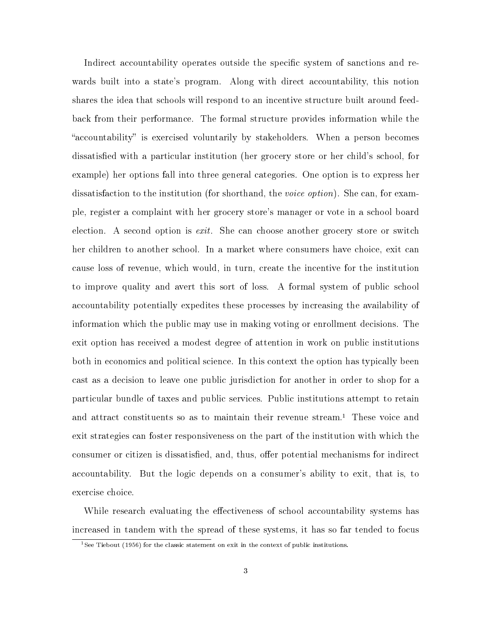Indirect accountability operates outside the specific system of sanctions and rewards built into a state's program. Along with direct accountability, this notion shares the idea that schools will respond to an incentive structure built around feedback from their performance. The formal structure provides information while the "accountability" is exercised voluntarily by stakeholders. When a person becomes dissatisfied with a particular institution (her grocery store or her child's school, for example) her options fall into three general categories. One option is to express her dissatisfaction to the institution (for shorthand, the voice option). She can, for example, register a complaint with her grocery store's manager or vote in a school board election. A second option is  $exit$ . She can choose another grocery store or switch her children to another school. In a market where consumers have choice, exit can cause loss of revenue, which would, in turn, create the incentive for the institution to improve quality and avert this sort of loss. A formal system of public school accountability potentially expedites these processes by increasing the availability of information which the public may use in making voting or enrollment decisions. The exit option has received a modest degree of attention in work on public institutions both in economics and political science. In this context the option has typically been cast as a decision to leave one public jurisdiction for another in order to shop for a particular bundle of taxes and public services. Public institutions attempt to retain and attract constituents so as to maintain their revenue stream.<sup>1</sup> These voice and exit strategies can foster responsiveness on the part of the institution with which the consumer or citizen is dissatisfied, and, thus, offer potential mechanisms for indirect accountability. But the logic depends on a consumer's ability to exit, that is, to exercise choice.

While research evaluating the effectiveness of school accountability systems has increased in tandem with the spread of these systems, it has so far tended to focus

<sup>&</sup>lt;sup>1</sup>See Tiebout (1956) for the classic statement on exit in the context of public institutions.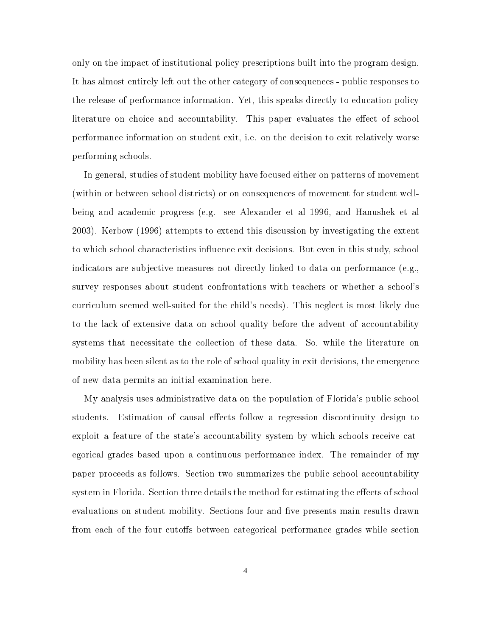only on the impact of institutional policy prescriptions built into the program design. It has almost entirely left out the other category of consequences - public responses to the release of performance information. Yet, this speaks directly to education policy literature on choice and accountability. This paper evaluates the effect of school performance information on student exit, i.e. on the decision to exit relatively worse performing schools.

In general, studies of student mobility have focused either on patterns of movement (within or between school districts) or on consequences of movement for student wellbeing and academic progress (e.g. see Alexander et al 1996, and Hanushek et al 2003). Kerbow (1996) attempts to extend this discussion by investigating the extent to which school characteristics influence exit decisions. But even in this study, school indicators are subjective measures not directly linked to data on performance (e.g., survey responses about student confrontations with teachers or whether a school's curriculum seemed well-suited for the child's needs). This neglect is most likely due to the lack of extensive data on school quality before the advent of accountability systems that necessitate the collection of these data. So, while the literature on mobility has been silent as to the role of school quality in exit decisions, the emergence of new data permits an initial examination here.

My analysis uses administrative data on the population of Florida's public school students. Estimation of causal effects follow a regression discontinuity design to exploit a feature of the state's accountability system by which schools receive categorical grades based upon a continuous performance index. The remainder of my paper proceeds as follows. Section two summarizes the public school accountability system in Florida. Section three details the method for estimating the effects of school evaluations on student mobility. Sections four and five presents main results drawn from each of the four cutoffs between categorical performance grades while section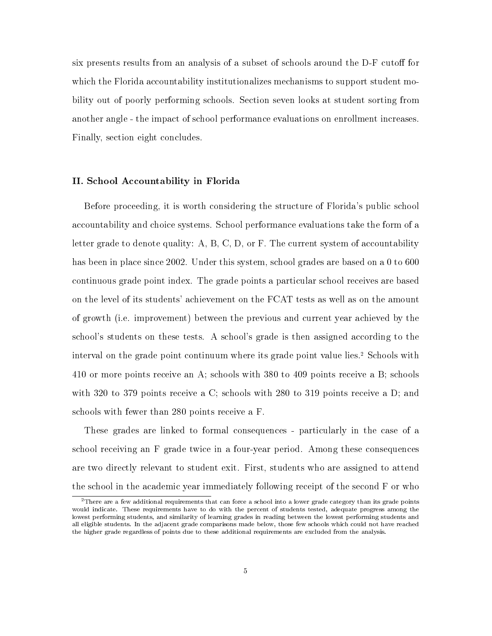six presents results from an analysis of a subset of schools around the D-F cutoff for which the Florida accountability institutionalizes mechanisms to support student mobility out of poorly performing schools. Section seven looks at student sorting from another angle - the impact of school performance evaluations on enrollment increases. Finally, section eight concludes.

## II. School Accountability in Florida

Before proceeding, it is worth considering the structure of Florida's public school accountability and choice systems. School performance evaluations take the form of a letter grade to denote quality: A, B, C, D, or F. The current system of accountability has been in place since 2002. Under this system, school grades are based on a 0 to 600 continuous grade point index. The grade points a particular school receives are based on the level of its students' achievement on the FCAT tests as well as on the amount of growth (i.e. improvement) between the previous and current year achieved by the school's students on these tests. A school's grade is then assigned according to the interval on the grade point continuum where its grade point value lies.<sup>2</sup> Schools with 410 or more points receive an A; schools with 380 to 409 points receive a B; schools with 320 to 379 points receive a C; schools with 280 to 319 points receive a D; and schools with fewer than 280 points receive a F.

These grades are linked to formal consequences - particularly in the case of a school receiving an F grade twice in a four-year period. Among these consequences are two directly relevant to student exit. First, students who are assigned to attend the school in the academic year immediately following receipt of the second F or who

<sup>&</sup>lt;sup>2</sup>There are a few additional requirements that can force a school into a lower grade category than its grade points would indicate. These requirements have to do with the percent of students tested, adequate progress among the lowest performing students, and similarity of learning grades in reading between the lowest performing students and all eligible students. In the adjacent grade comparisons made below, those few schools which could not have reached the higher grade regardless of points due to these additional requirements are excluded from the analysis.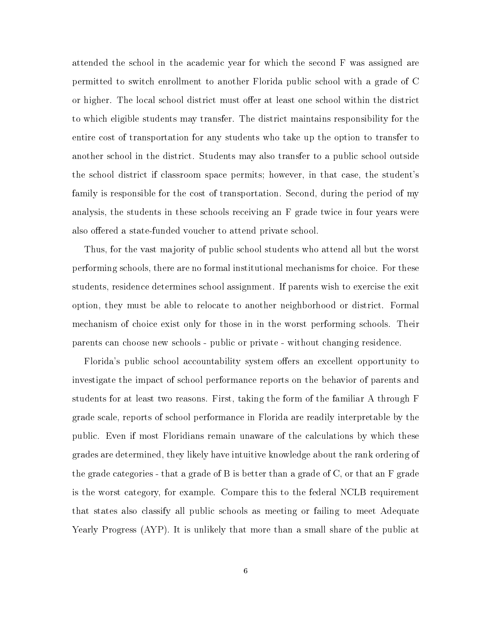attended the school in the academic year for which the second F was assigned are permitted to switch enrollment to another Florida public school with a grade of C or higher. The local school district must offer at least one school within the district to which eligible students may transfer. The district maintains responsibility for the entire cost of transportation for any students who take up the option to transfer to another school in the district. Students may also transfer to a public school outside the school district if classroom space permits; however, in that case, the student's family is responsible for the cost of transportation. Second, during the period of my analysis, the students in these schools receiving an F grade twice in four years were also offered a state-funded voucher to attend private school.

Thus, for the vast majority of public school students who attend all but the worst performing schools, there are no formal institutional mechanisms for choice. For these students, residence determines school assignment. If parents wish to exercise the exit option, they must be able to relocate to another neighborhood or district. Formal mechanism of choice exist only for those in in the worst performing schools. Their parents can choose new schools - public or private - without changing residence.

Florida's public school accountability system offers an excellent opportunity to investigate the impact of school performance reports on the behavior of parents and students for at least two reasons. First, taking the form of the familiar A through F grade scale, reports of school performance in Florida are readily interpretable by the public. Even if most Floridians remain unaware of the calculations by which these grades are determined, they likely have intuitive knowledge about the rank ordering of the grade categories - that a grade of B is better than a grade of C, or that an F grade is the worst category, for example. Compare this to the federal NCLB requirement that states also classify all public schools as meeting or failing to meet Adequate Yearly Progress (AYP). It is unlikely that more than a small share of the public at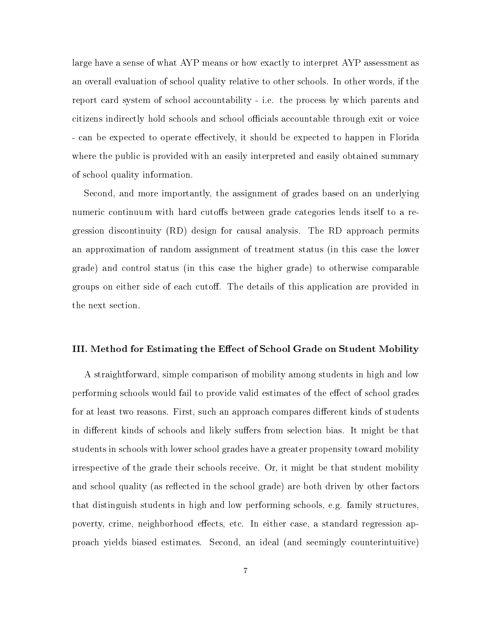large have a sense of what AYP means or how exactly to interpret AYP assessment as an overall evaluation of school quality relative to other schools. In other words, if the report card system of school accountability - i.e. the process by which parents and citizens indirectly hold schools and school officials accountable through exit or voice - can be expected to operate effectively, it should be expected to happen in Florida where the public is provided with an easily interpreted and easily obtained summary of school quality information.

Second, and more importantly, the assignment of grades based on an underlying numeric continuum with hard cutoffs between grade categories lends itself to a regression discontinuity (RD) design for causal analysis. The RD approach permits an approximation of random assignment of treatment status (in this case the lower grade) and control status (in this case the higher grade) to otherwise comparable groups on either side of each cutoff. The details of this application are provided in the next section.

## III. Method for Estimating the Effect of School Grade on Student Mobility

A straightforward, simple comparison of mobility among students in high and low performing schools would fail to provide valid estimates of the effect of school grades for at least two reasons. First, such an approach compares different kinds of students in different kinds of schools and likely suffers from selection bias. It might be that students in schools with lower school grades have a greater propensity toward mobility irrespective of the grade their schools receive. Or, it might be that student mobility and school quality (as reflected in the school grade) are both driven by other factors that distinguish students in high and low performing schools, e.g. family structures, poverty, crime, neighborhood effects, etc. In either case, a standard regression approach yields biased estimates. Second, an ideal (and seemingly counterintuitive)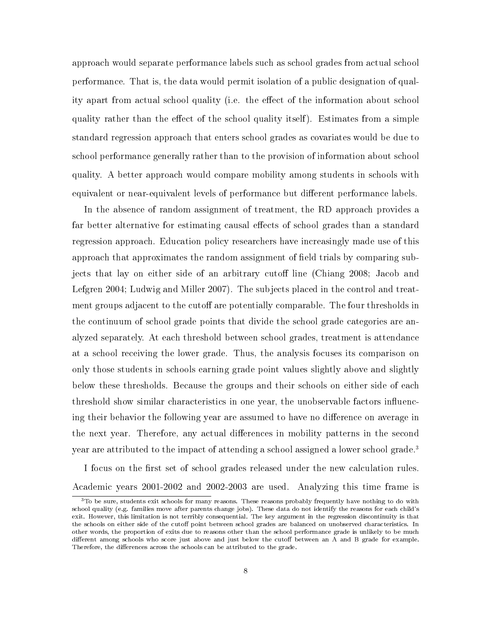approach would separate performance labels such as school grades from actual school performance. That is, the data would permit isolation of a public designation of quality apart from actual school quality (i.e. the effect of the information about school quality rather than the effect of the school quality itself). Estimates from a simple standard regression approach that enters school grades as covariates would be due to school performance generally rather than to the provision of information about school quality. A better approach would compare mobility among students in schools with equivalent or near-equivalent levels of performance but different performance labels.

In the absence of random assignment of treatment, the RD approach provides a far better alternative for estimating causal effects of school grades than a standard regression approach. Education policy researchers have increasingly made use of this approach that approximates the random assignment of field trials by comparing subjects that lay on either side of an arbitrary cutoff line (Chiang 2008; Jacob and Lefgren 2004; Ludwig and Miller 2007). The subjects placed in the control and treatment groups adjacent to the cutoff are potentially comparable. The four thresholds in the continuum of school grade points that divide the school grade categories are analyzed separately. At each threshold between school grades, treatment is attendance at a school receiving the lower grade. Thus, the analysis focuses its comparison on only those students in schools earning grade point values slightly above and slightly below these thresholds. Because the groups and their schools on either side of each threshold show similar characteristics in one year, the unobservable factors influencing their behavior the following year are assumed to have no difference on average in the next year. Therefore, any actual differences in mobility patterns in the second year are attributed to the impact of attending a school assigned a lower school grade.<sup>3</sup>

I focus on the first set of school grades released under the new calculation rules. Academic years 2001-2002 and 2002-2003 are used. Analyzing this time frame is

<sup>&</sup>lt;sup>3</sup>To be sure, students exit schools for many reasons. These reasons probably frequently have nothing to do with school quality (e.g. families move after parents change jobs). These data do not identify the reasons for each child's exit. However, this limitation is not terribly consequential. The key argument in the regression discontinuity is that the schools on either side of the cutoff point between school grades are balanced on unobserved characteristics. In other words, the proportion of exits due to reasons other than the school performance grade is unlikely to be much different among schools who score just above and just below the cutoff between an  $\tilde{A}$  and  $B$  grade for example. Therefore, the differences across the schools can be attributed to the grade.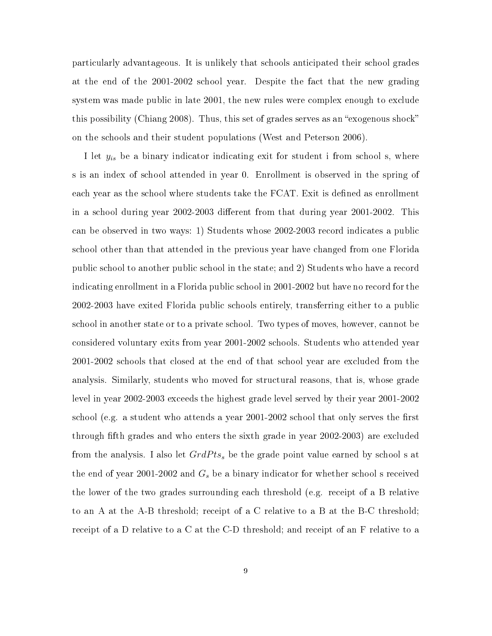particularly advantageous. It is unlikely that schools anticipated their school grades at the end of the 2001-2002 school year. Despite the fact that the new grading system was made public in late 2001, the new rules were complex enough to exclude this possibility (Chiang 2008). Thus, this set of grades serves as an "exogenous shock" on the schools and their student populations (West and Peterson 2006).

I let  $y_{is}$  be a binary indicator indicating exit for student i from school s, where s is an index of school attended in year 0. Enrollment is observed in the spring of each year as the school where students take the FCAT. Exit is defined as enrollment in a school during year 2002-2003 different from that during year 2001-2002. This can be observed in two ways: 1) Students whose 2002-2003 record indicates a public school other than that attended in the previous year have changed from one Florida public school to another public school in the state; and 2) Students who have a record indicating enrollment in a Florida public school in 2001-2002 but have no record for the 2002-2003 have exited Florida public schools entirely, transferring either to a public school in another state or to a private school. Two types of moves, however, cannot be considered voluntary exits from year 2001-2002 schools. Students who attended year 2001-2002 schools that closed at the end of that school year are excluded from the analysis. Similarly, students who moved for structural reasons, that is, whose grade level in year 2002-2003 exceeds the highest grade level served by their year 2001-2002 school (e.g. a student who attends a year  $2001-2002$  school that only serves the first through fth grades and who enters the sixth grade in year 2002-2003) are excluded from the analysis. I also let  $GrdPts<sub>s</sub>$  be the grade point value earned by school s at the end of year 2001-2002 and  $G_s$  be a binary indicator for whether school s received the lower of the two grades surrounding each threshold (e.g. receipt of a B relative to an A at the A-B threshold; receipt of a C relative to a B at the B-C threshold; receipt of a D relative to a C at the C-D threshold; and receipt of an F relative to a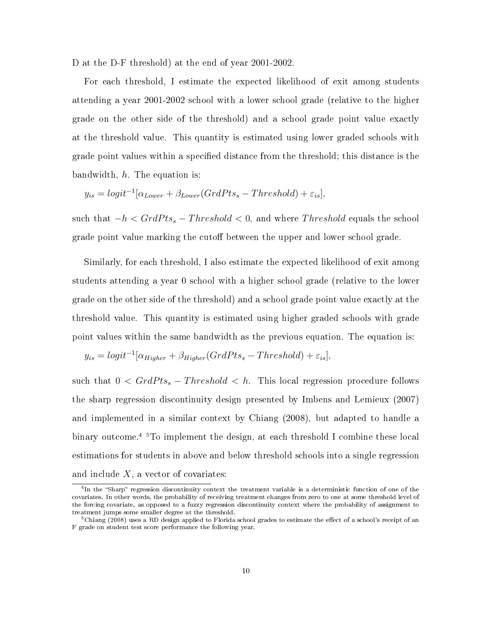D at the D-F threshold) at the end of year 2001-2002.

For each threshold, I estimate the expected likelihood of exit among students attending a year 2001-2002 school with a lower school grade (relative to the higher grade on the other side of the threshold) and a school grade point value exactly at the threshold value. This quantity is estimated using lower graded schools with grade point values within a specified distance from the threshold; this distance is the bandwidth, h. The equation is:

$$
y_{is} = logit^{-1}[\alpha_{Lower} + \beta_{Lower}(GrdPts_s - Threshold) + \varepsilon_{is}],
$$

such that  $-h < GradPts_s - Threshold < 0$ , and where *Threshold* equals the school grade point value marking the cutoff between the upper and lower school grade.

Similarly, for each threshold, I also estimate the expected likelihood of exit among students attending a year 0 school with a higher school grade (relative to the lower grade on the other side of the threshold) and a school grade point value exactly at the threshold value. This quantity is estimated using higher graded schools with grade point values within the same bandwidth as the previous equation. The equation is:

$$
y_{is} = logit^{-1}[\alpha_{Higher} + \beta_{Higher}(GrdPts_s - Threshold) + \varepsilon_{is}],
$$

such that  $0 < GradPts_s - Threshold < h$ . This local regression procedure follows the sharp regression discontinuity design presented by Imbens and Lemieux (2007) and implemented in a similar context by Chiang (2008), but adapted to handle a binary outcome.<sup>45</sup> To implement the design, at each threshold I combine these local estimations for students in above and below threshold schools into a single regression and include  $X$ , a vector of covariates:

<sup>&</sup>lt;sup>4</sup>In the "Sharp" regression discontinuity context the treatment variable is a deterministic function of one of the covariates. In other words, the probability of receiving treatment changes from zero to one at some threshold level of the forcing covariate, as opposed to a fuzzy regression discontinuity context where the probability of assignment to treatment jumps some smaller degree at the threshold.

 $5$ Chiang (2008) uses a RD design applied to Florida school grades to estimate the effect of a school's receipt of an F grade on student test score performance the following year.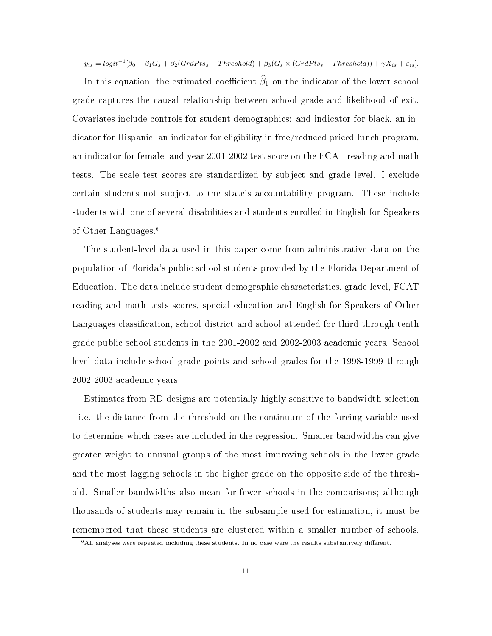$y_{is} = logit^{-1}[\beta_0 + \beta_1 G_s + \beta_2 (GrdPts_s - Threshold) + \beta_3 (G_s \times (GrdPts_s - Threshold)) + \gamma X_{is} + \varepsilon_{is}].$ 

In this equation, the estimated coefficient  $\hat{\beta}_1$  on the indicator of the lower school grade captures the causal relationship between school grade and likelihood of exit. Covariates include controls for student demographics: and indicator for black, an indicator for Hispanic, an indicator for eligibility in free/reduced priced lunch program, an indicator for female, and year 2001-2002 test score on the FCAT reading and math tests. The scale test scores are standardized by subject and grade level. I exclude certain students not subject to the state's accountability program. These include students with one of several disabilities and students enrolled in English for Speakers of Other Languages.<sup>6</sup>

The student-level data used in this paper come from administrative data on the population of Florida's public school students provided by the Florida Department of Education. The data include student demographic characteristics, grade level, FCAT reading and math tests scores, special education and English for Speakers of Other Languages classification, school district and school attended for third through tenth grade public school students in the 2001-2002 and 2002-2003 academic years. School level data include school grade points and school grades for the 1998-1999 through 2002-2003 academic years.

Estimates from RD designs are potentially highly sensitive to bandwidth selection - i.e. the distance from the threshold on the continuum of the forcing variable used to determine which cases are included in the regression. Smaller bandwidths can give greater weight to unusual groups of the most improving schools in the lower grade and the most lagging schools in the higher grade on the opposite side of the threshold. Smaller bandwidths also mean for fewer schools in the comparisons; although thousands of students may remain in the subsample used for estimation, it must be remembered that these students are clustered within a smaller number of schools.

 $6$ All analyses were repeated including these students. In no case were the results substantively different.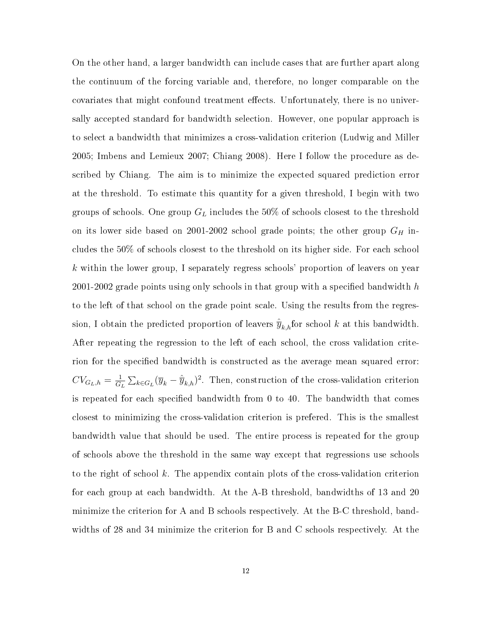On the other hand, a larger bandwidth can include cases that are further apart along the continuum of the forcing variable and, therefore, no longer comparable on the covariates that might confound treatment effects. Unfortunately, there is no universally accepted standard for bandwidth selection. However, one popular approach is to select a bandwidth that minimizes a cross-validation criterion (Ludwig and Miller 2005; Imbens and Lemieux 2007; Chiang 2008). Here I follow the procedure as described by Chiang. The aim is to minimize the expected squared prediction error at the threshold. To estimate this quantity for a given threshold, I begin with two groups of schools. One group  $G_L$  includes the 50% of schools closest to the threshold on its lower side based on 2001-2002 school grade points; the other group  $G_H$  includes the 50% of schools closest to the threshold on its higher side. For each school  $k$  within the lower group, I separately regress schools' proportion of leavers on year 2001-2002 grade points using only schools in that group with a specified bandwidth  $h$ to the left of that school on the grade point scale. Using the results from the regression, I obtain the predicted proportion of leavers  $\hat{y}_{k,h}$ for school k at this bandwidth. After repeating the regression to the left of each school, the cross validation criterion for the specified bandwidth is constructed as the average mean squared error:  $CV_{G_L,h} = \frac{1}{G}$  $\frac{1}{G_L} \sum_{k \in G_L} (\overline{y}_k - \hat{\overline{y}}_{k,h})^2$ . Then, construction of the cross-validation criterion is repeated for each specified bandwidth from  $0$  to  $40$ . The bandwidth that comes closest to minimizing the cross-validation criterion is prefered. This is the smallest bandwidth value that should be used. The entire process is repeated for the group of schools above the threshold in the same way except that regressions use schools to the right of school  $k$ . The appendix contain plots of the cross-validation criterion for each group at each bandwidth. At the A-B threshold, bandwidths of 13 and 20 minimize the criterion for A and B schools respectively. At the B-C threshold, bandwidths of 28 and 34 minimize the criterion for B and C schools respectively. At the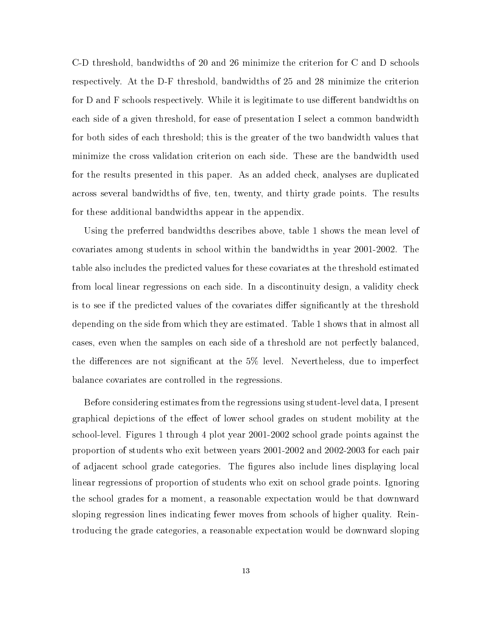C-D threshold, bandwidths of 20 and 26 minimize the criterion for C and D schools respectively. At the D-F threshold, bandwidths of 25 and 28 minimize the criterion for  $D$  and  $F$  schools respectively. While it is legitimate to use different bandwidths on each side of a given threshold, for ease of presentation I select a common bandwidth for both sides of each threshold; this is the greater of the two bandwidth values that minimize the cross validation criterion on each side. These are the bandwidth used for the results presented in this paper. As an added check, analyses are duplicated across several bandwidths of five, ten, twenty, and thirty grade points. The results for these additional bandwidths appear in the appendix.

Using the preferred bandwidths describes above, table 1 shows the mean level of covariates among students in school within the bandwidths in year 2001-2002. The table also includes the predicted values for these covariates at the threshold estimated from local linear regressions on each side. In a discontinuity design, a validity check is to see if the predicted values of the covariates differ significantly at the threshold depending on the side from which they are estimated. Table 1 shows that in almost all cases, even when the samples on each side of a threshold are not perfectly balanced, the differences are not significant at the  $5\%$  level. Nevertheless, due to imperfect balance covariates are controlled in the regressions.

Before considering estimates from the regressions using student-level data, I present graphical depictions of the effect of lower school grades on student mobility at the school-level. Figures 1 through 4 plot year 2001-2002 school grade points against the proportion of students who exit between years 2001-2002 and 2002-2003 for each pair of adjacent school grade categories. The gures also include lines displaying local linear regressions of proportion of students who exit on school grade points. Ignoring the school grades for a moment, a reasonable expectation would be that downward sloping regression lines indicating fewer moves from schools of higher quality. Reintroducing the grade categories, a reasonable expectation would be downward sloping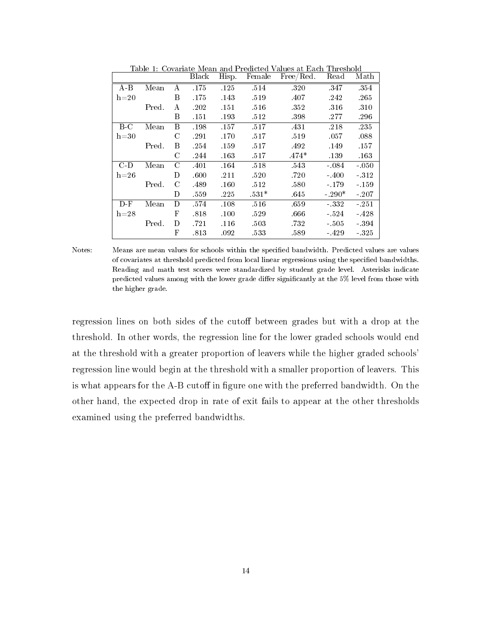|          |       |               | Black | Hisp. | Female  | Free/Red. | Read    | Math    |
|----------|-------|---------------|-------|-------|---------|-----------|---------|---------|
| $A-B$    | Mean  | A             | .175  | .125  | .514    | .320      | 347     | 354     |
| $h=20$   |       | B             | .175  | .143  | .519    | .407      | .242    | .265    |
|          | Pred. | А             | .202  | .151  | .516    | .352      | .316    | .310    |
|          |       | B             | .151  | .193  | .512    | .398      | .277    | .296    |
| $B-C$    | Mean  | B             | .198  | .157  | .517    | .431      | .218    | .235    |
| $h = 30$ |       | С             | .291  | .170  | .517    | .519      | .057    | .088    |
|          | Pred. | В             | -254  | .159  | .517    | .492      | .149    | .157    |
|          |       | С             | .244  | .163  | .517    | $.474*$   | .139    | .163    |
| C-D      | Mean  | $\mathcal{C}$ | .401  | .164  | .518    | .543      | $-.084$ | $-.050$ |
| $h=26$   |       | D             | .600  | .211  | .520    | .720      | $-400$  | $-312$  |
|          | Pred. | С             | .489  | .160  | .512    | .580      | $-179$  | $-159$  |
|          |       | D             | .559  | .225  | $.531*$ | .645      | $-290*$ | $-.207$ |
| $D-F$    | Mean  | D             | .574  | .108  | .516    | .659      | $-332$  | $-251$  |
| $h=28$   |       | F             | .818  | .100  | .529    | .666      | $-524$  | $-428$  |
|          | Pred. | D             | .721  | .116  | .503    | .732      | $-505$  | - 394   |
|          |       | F             | .813  | .092  | .533    | .589      | - 429   | - 325   |

Table 1: Covariate Mean and Predicted Values at Each Threshold

Notes: Means are mean values for schools within the specified bandwidth. Predicted values are values of covariates at threshold predicted from local linear regressions using the specified bandwidths. Reading and math test scores were standardized by student grade level. Asterisks indicate predicted values among with the lower grade differ significantly at the 5% level from those with the higher grade.

regression lines on both sides of the cutoff between grades but with a drop at the threshold. In other words, the regression line for the lower graded schools would end at the threshold with a greater proportion of leavers while the higher graded schools' regression line would begin at the threshold with a smaller proportion of leavers. This is what appears for the A-B cutoff in figure one with the preferred bandwidth. On the other hand, the expected drop in rate of exit fails to appear at the other thresholds examined using the preferred bandwidths.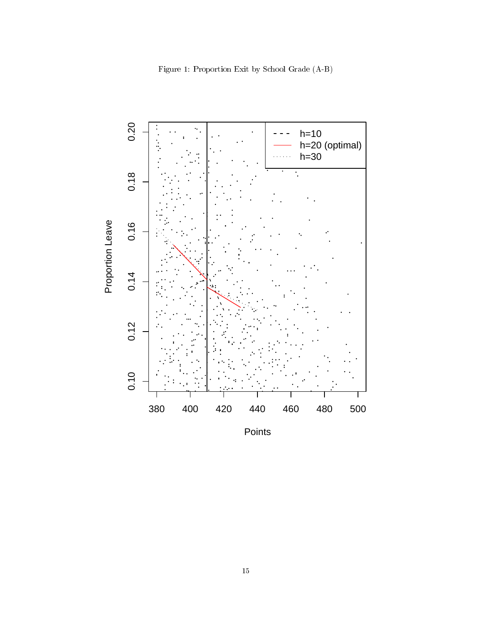

Figure 1: Proportion Exit by School Grade (A-B)

Points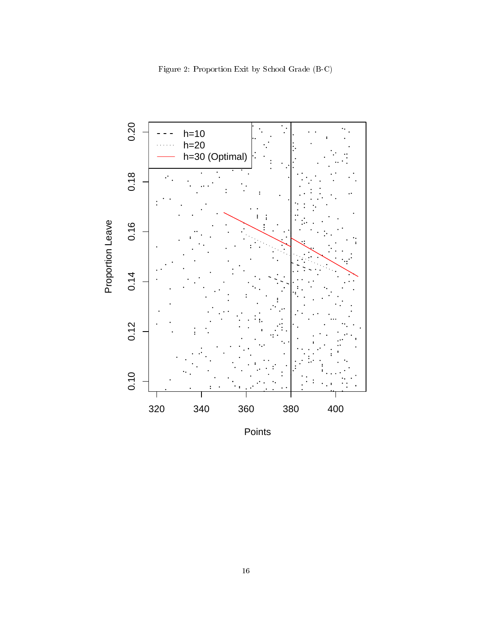

Figure 2: Proportion Exit by School Grade (B-C)

Points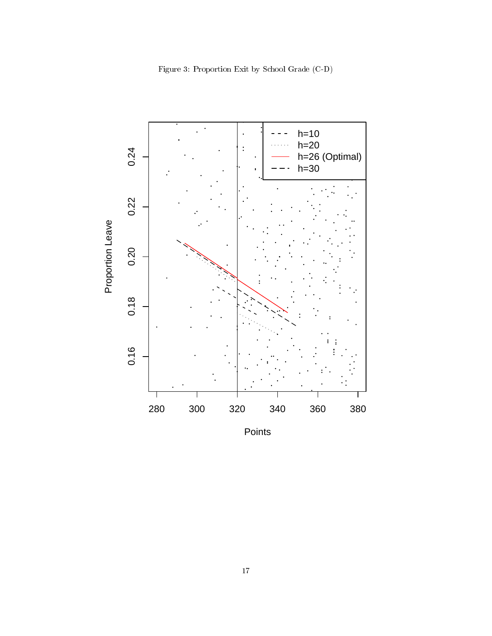

Figure 3: Proportion Exit by School Grade (C-D)

Points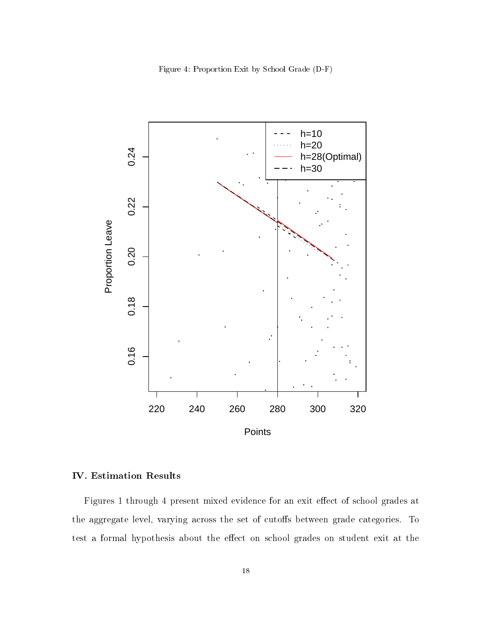Figure 4: Proportion Exit by School Grade (D-F)



# IV. Estimation Results

Figures 1 through 4 present mixed evidence for an exit effect of school grades at the aggregate level, varying across the set of cutoffs between grade categories. To test a formal hypothesis about the effect on school grades on student exit at the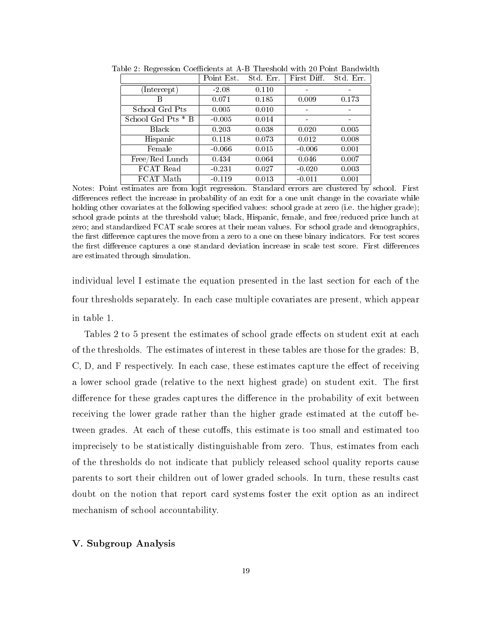|                    | Point Est. | Std. Err. | First Diff. | Std. Err. |
|--------------------|------------|-----------|-------------|-----------|
| (Intercept)        | $-2.08$    | 0.110     |             |           |
| В                  | 0.071      | 0.185     | 0.009       | 0.173     |
| School Grd Pts     | 0.005      | 0.010     |             |           |
| School Grd Pts * B | $-0.005$   | 0.014     | -           |           |
| <b>Black</b>       | 0.203      | 0.038     | 0.020       | 0.005     |
| Hispanic           | 0.118      | 0.073     | 0.012       | 0.008     |
| Female             | $-0.066$   | 0.015     | $-0.006$    | 0.001     |
| Free/Red Lunch     | 0.434      | 0.064     | 0.046       | 0.007     |
| FCAT Read          | $-0.231$   | 0.027     | $-0.020$    | 0.003     |
| FCAT Math          | $-0.119$   | 0.013     | $-0.011$    | 0.001     |

Table 2: Regression Coefficients at A-B Threshold with 20 Point Bandwidth

Notes: Point estimates are from logit regression. Standard errors are clustered by school. First differences reflect the increase in probability of an exit for a one unit change in the covariate while holding other covariates at the following specified values: school grade at zero (i.e. the higher grade); school grade points at the threshold value; black, Hispanic, female, and free/reduced price lunch at zero; and standardized FCAT scale scores at their mean values. For school grade and demographics, the first difference captures the move from a zero to a one on these binary indicators. For test scores the first difference captures a one standard deviation increase in scale test score. First differences are estimated through simulation.

individual level I estimate the equation presented in the last section for each of the four thresholds separately. In each case multiple covariates are present, which appear in table 1.

Tables 2 to 5 present the estimates of school grade effects on student exit at each of the thresholds. The estimates of interest in these tables are those for the grades: B,  $C, D, and F$  respectively. In each case, these estimates capture the effect of receiving a lower school grade (relative to the next highest grade) on student exit. The first difference for these grades captures the difference in the probability of exit between receiving the lower grade rather than the higher grade estimated at the cutoff between grades. At each of these cutoffs, this estimate is too small and estimated too imprecisely to be statistically distinguishable from zero. Thus, estimates from each of the thresholds do not indicate that publicly released school quality reports cause parents to sort their children out of lower graded schools. In turn, these results cast doubt on the notion that report card systems foster the exit option as an indirect mechanism of school accountability.

# V. Subgroup Analysis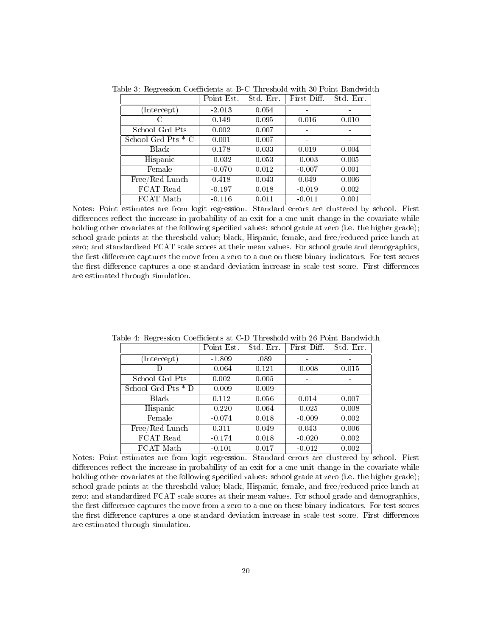|                    | Point Est. | Std. Err. | First Diff. | Std. Err. |
|--------------------|------------|-----------|-------------|-----------|
| (Intercept)        | $-2.013$   | 0.054     |             |           |
| C                  | 0.149      | 0.095     | 0.016       | 0.010     |
| School Grd Pts     | 0.002      | 0.007     | -           |           |
| School Grd Pts * C | 0.001      | 0.007     |             |           |
| Black              | 0.178      | 0.033     | 0.019       | 0.004     |
| Hispanic           | $-0.032$   | 0.053     | $-0.003$    | 0.005     |
| Female             | $-0.070$   | 0.012     | $-0.007$    | 0.001     |
| Free/Red Lunch     | 0.418      | 0.043     | 0.049       | 0.006     |
| FCAT Read          | $-0.197$   | 0.018     | $-0.019$    | 0.002     |
| FCAT Math          | $-0.116$   | 0.011     | $-0.011$    | 0.001     |

Table 3: Regression Coefficients at B-C Threshold with 30 Point Bandwidth

Notes: Point estimates are from logit regression. Standard errors are clustered by school. First differences reflect the increase in probability of an exit for a one unit change in the covariate while holding other covariates at the following specified values: school grade at zero (i.e. the higher grade); school grade points at the threshold value; black, Hispanic, female, and free/reduced price lunch at zero; and standardized FCAT scale scores at their mean values. For school grade and demographics, the first difference captures the move from a zero to a one on these binary indicators. For test scores the first difference captures a one standard deviation increase in scale test score. First differences are estimated through simulation.

|                    | Point Est. | Std. Err. | First Diff | Std. Err. |
|--------------------|------------|-----------|------------|-----------|
| (Intercept)        | $-1.809$   | .089      |            |           |
| D                  | $-0.064$   | 0.121     | $-0.008$   | 0.015     |
| School Grd Pts     | 0.002      | 0.005     |            |           |
| School Grd Pts * D | $-0.009$   | 0.009     |            |           |
| Black              | 0.112      | 0.056     | 0.014      | 0.007     |
| Hispanic           | $-0.220$   | 0.064     | $-0.025$   | 0.008     |
| Female             | $-0.074$   | 0.018     | $-0.009$   | 0.002     |
| Free/Red Lunch     | 0.311      | 0.049     | 0.043      | 0.006     |
| FCAT Read          | $-0.174$   | 0.018     | $-0.020$   | 0.002     |
| FCAT Math          | $-0.101$   | 0.017     | $-0.012$   | 0.002     |

Table 4: Regression Coefficients at C-D Threshold with 26 Point Bandwidth

Notes: Point estimates are from logit regression. Standard errors are clustered by school. First differences reflect the increase in probability of an exit for a one unit change in the covariate while holding other covariates at the following specified values: school grade at zero (i.e. the higher grade); school grade points at the threshold value; black, Hispanic, female, and free/reduced price lunch at zero; and standardized FCAT scale scores at their mean values. For school grade and demographics, the first difference captures the move from a zero to a one on these binary indicators. For test scores the first difference captures a one standard deviation increase in scale test score. First differences are estimated through simulation.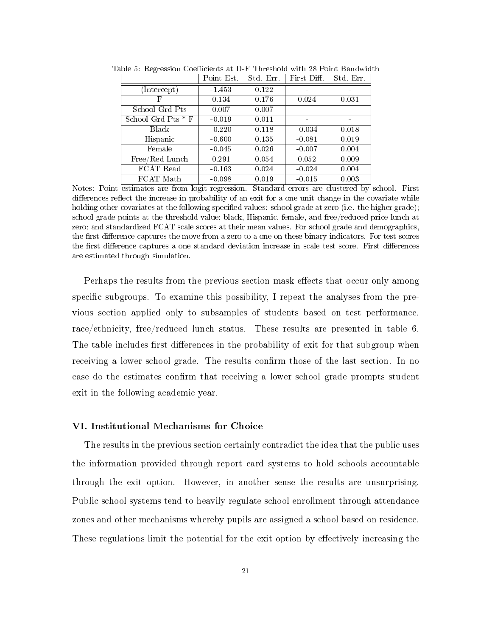|                                 | Point Est. | Std. Err. | First Diff. | Std. Err. |
|---------------------------------|------------|-----------|-------------|-----------|
| $(\overline{\text{Intercept}})$ | $-1.453$   | 0.122     |             |           |
| F                               | 0.134      | 0.176     | 0.024       | 0.031     |
| School Grd Pts                  | 0.007      | 0.007     |             |           |
| $School$ Grd Pts $*$ F          | $-0.019$   | 0.011     |             |           |
| <b>Black</b>                    | $-0.220$   | 0.118     | $-0.034$    | 0.018     |
| Hispanic                        | $-0.600$   | 0.135     | $-0.081$    | 0.019     |
| Female                          | $-0.045$   | 0.026     | $-0.007$    | 0.004     |
| Free/Red Lunch                  | 0.291      | 0.054     | 0.052       | 0.009     |
| FCAT Read                       | $-0.163$   | 0.024     | $-0.024$    | 0.004     |
| FCAT Math                       | $-0.098$   | 0.019     | $-0.015$    | 0.003     |

Table 5: Regression Coefficients at D-F Threshold with 28 Point Bandwidth

Notes: Point estimates are from logit regression. Standard errors are clustered by school. First differences reflect the increase in probability of an exit for a one unit change in the covariate while holding other covariates at the following specified values: school grade at zero (i.e. the higher grade); school grade points at the threshold value; black, Hispanic, female, and free/reduced price lunch at zero; and standardized FCAT scale scores at their mean values. For school grade and demographics, the first difference captures the move from a zero to a one on these binary indicators. For test scores the first difference captures a one standard deviation increase in scale test score. First differences are estimated through simulation.

Perhaps the results from the previous section mask effects that occur only among specific subgroups. To examine this possibility, I repeat the analyses from the previous section applied only to subsamples of students based on test performance, race/ethnicity, free/reduced lunch status. These results are presented in table 6. The table includes first differences in the probability of exit for that subgroup when receiving a lower school grade. The results confirm those of the last section. In no case do the estimates confirm that receiving a lower school grade prompts student exit in the following academic year.

### VI. Institutional Mechanisms for Choice

The results in the previous section certainly contradict the idea that the public uses the information provided through report card systems to hold schools accountable through the exit option. However, in another sense the results are unsurprising. Public school systems tend to heavily regulate school enrollment through attendance zones and other mechanisms whereby pupils are assigned a school based on residence. These regulations limit the potential for the exit option by effectively increasing the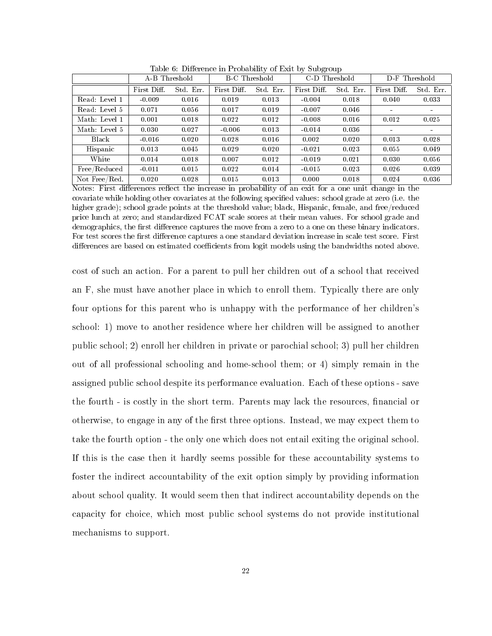|               | $\cdot$<br>$\cdot$ |           |                      |           |               |           |               |           |
|---------------|--------------------|-----------|----------------------|-----------|---------------|-----------|---------------|-----------|
|               | A-B Threshold      |           | <b>B-C</b> Threshold |           | C-D Threshold |           | D-F Threshold |           |
|               | First Diff.        | Std. Err. | First Diff.          | Std. Err. | First Diff.   | Std. Err. | First Diff.   | Std. Err. |
| Read: Level 1 | $-0.009$           | 0.016     | 0.019                | 0.013     | $-0.004$      | 0.018     | 0.040         | 0.033     |
| Read: Level 5 | 0.071              | 0.056     | 0.017                | 0.019     | $-0.007$      | 0.046     |               |           |
| Math: Level 1 | 0.001              | 0.018     | 0.022                | 0.012     | $-0.008$      | 0.016     | 0.012         | 0.025     |
| Math: Level 5 | 0.030              | 0.027     | $-0.006$             | 0.013     | $-0.014$      | 0.036     |               |           |
| Black         | $-0.016$           | 0.020     | 0.028                | 0.016     | 0.002         | 0.020     | 0.013         | 0.028     |
| Hispanic      | 0.013              | 0.045     | 0.029                | 0.020     | $-0.021$      | 0.023     | 0.055         | 0.049     |
| White         | 0.014              | 0.018     | 0.007                | 0.012     | $-0.019$      | 0.021     | 0.030         | 0.056     |
| Free/Reduced  | $-0.011$           | 0.015     | 0.022                | 0.014     | $-0.015$      | 0.023     | 0.026         | 0.039     |
| Not Free/Red. | 0.020              | 0.028     | 0.015                | 0.013     | 0.000         | 0.018     | 0.024         | 0.036     |

Table 6: Difference in Probability of Exit by Subgroup

Notes: First differences reflect the increase in probability of an exit for a one unit change in the covariate while holding other covariates at the following specified values: school grade at zero (i.e. the higher grade); school grade points at the threshold value; black, Hispanic, female, and free/reduced price lunch at zero; and standardized FCAT scale scores at their mean values. For school grade and demographics, the first difference captures the move from a zero to a one on these binary indicators. For test scores the first difference captures a one standard deviation increase in scale test score. First differences are based on estimated coefficients from logit models using the bandwidths noted above.

cost of such an action. For a parent to pull her children out of a school that received an F, she must have another place in which to enroll them. Typically there are only four options for this parent who is unhappy with the performance of her children's school: 1) move to another residence where her children will be assigned to another public school; 2) enroll her children in private or parochial school; 3) pull her children out of all professional schooling and home-school them; or 4) simply remain in the assigned public school despite its performance evaluation. Each of these options - save the fourth - is costly in the short term. Parents may lack the resources, financial or otherwise, to engage in any of the first three options. Instead, we may expect them to take the fourth option - the only one which does not entail exiting the original school. If this is the case then it hardly seems possible for these accountability systems to foster the indirect accountability of the exit option simply by providing information about school quality. It would seem then that indirect accountability depends on the capacity for choice, which most public school systems do not provide institutional mechanisms to support.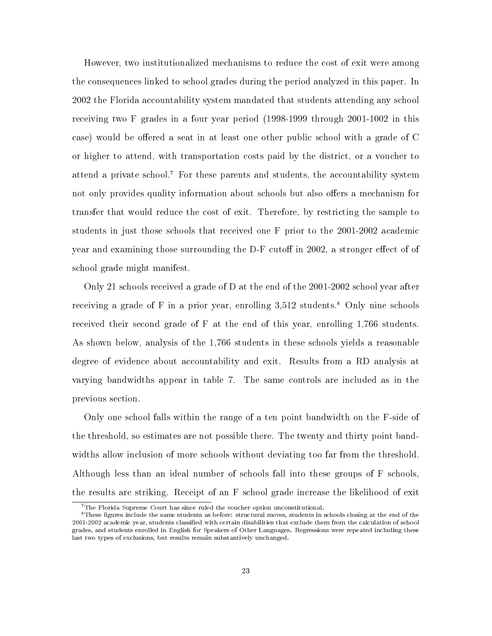However, two institutionalized mechanisms to reduce the cost of exit were among the consequences linked to school grades during the period analyzed in this paper. In 2002 the Florida accountability system mandated that students attending any school receiving two F grades in a four year period (1998-1999 through 2001-1002 in this case) would be offered a seat in at least one other public school with a grade of C or higher to attend, with transportation costs paid by the district, or a voucher to attend a private school.<sup>7</sup> For these parents and students, the accountability system not only provides quality information about schools but also offers a mechanism for transfer that would reduce the cost of exit. Therefore, by restricting the sample to students in just those schools that received one F prior to the 2001-2002 academic year and examining those surrounding the D-F cutoff in  $2002$ , a stronger effect of of school grade might manifest.

Only 21 schools received a grade of D at the end of the 2001-2002 school year after receiving a grade of F in a prior year, enrolling  $3.512$  students.<sup>8</sup> Only nine schools received their second grade of F at the end of this year, enrolling 1,766 students. As shown below, analysis of the 1,766 students in these schools yields a reasonable degree of evidence about accountability and exit. Results from a RD analysis at varying bandwidths appear in table 7. The same controls are included as in the previous section.

Only one school falls within the range of a ten point bandwidth on the F-side of the threshold, so estimates are not possible there. The twenty and thirty point bandwidths allow inclusion of more schools without deviating too far from the threshold. Although less than an ideal number of schools fall into these groups of F schools, the results are striking. Receipt of an F school grade increase the likelihood of exit

 $7$ The Florida Supreme Court has since ruled the voucher option unconstitutional.

<sup>&</sup>lt;sup>8</sup>These figures include the same students as before: structural moves, students in schools closing at the end of the 2001-2002 academic year, students classied with certain disabilities that exclude them from the calculation of school grades, and students enrolled in English for Speakers of Other Languages. Regressions were repeated including these last two types of exclusions, but results remain substantively unchanged.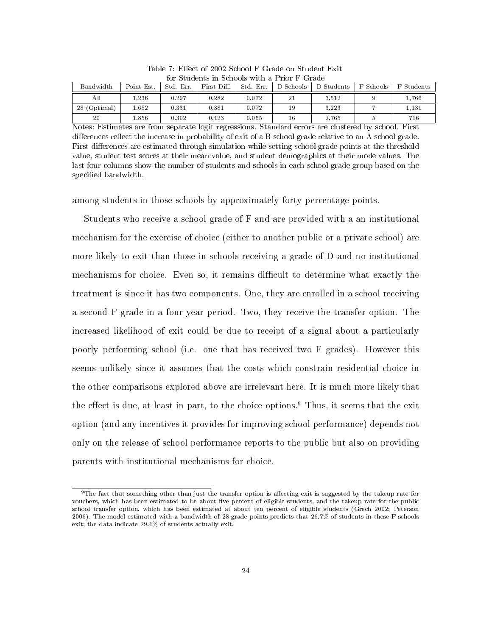| Bandwidth    | Point Est. | Std. Err. | First Diff. | Std. Err. | D Schools | D Students | F Schools | F Students |
|--------------|------------|-----------|-------------|-----------|-----------|------------|-----------|------------|
| All          | .236       | 0.297     | 0.282       | 0.072     | 21        | 3.512      |           | 1.766      |
| 28 (Optimal) | .652       | 0.331     | 0.381       | 0.072     | 19        | 3.223      |           | 1.131      |
| 20           | .856       | 0.302     | 0.423       | 0.065     | 16        | 2.765      |           | 716        |

Table 7: Effect of 2002 School F Grade on Student Exit for Students in Schools with a Prior F Grade

Notes: Estimates are from separate logit regressions. Standard errors are clustered by school. First differences reflect the increase in probability of exit of a B school grade relative to an A school grade. First differences are estimated through simulation while setting school grade points at the threshold value, student test scores at their mean value, and student demographics at their mode values. The last four columns show the number of students and schools in each school grade group based on the specified bandwidth.

among students in those schools by approximately forty percentage points.

Students who receive a school grade of F and are provided with a an institutional mechanism for the exercise of choice (either to another public or a private school) are more likely to exit than those in schools receiving a grade of D and no institutional mechanisms for choice. Even so, it remains difficult to determine what exactly the treatment is since it has two components. One, they are enrolled in a school receiving a second F grade in a four year period. Two, they receive the transfer option. The increased likelihood of exit could be due to receipt of a signal about a particularly poorly performing school (i.e. one that has received two F grades). However this seems unlikely since it assumes that the costs which constrain residential choice in the other comparisons explored above are irrelevant here. It is much more likely that the effect is due, at least in part, to the choice options.<sup>9</sup> Thus, it seems that the exit option (and any incentives it provides for improving school performance) depends not only on the release of school performance reports to the public but also on providing parents with institutional mechanisms for choice.

 $9$ The fact that something other than just the transfer option is affecting exit is suggested by the takeup rate for vouchers, which has been estimated to be about five percent of eligible students, and the takeup rate for the public school transfer option, which has been estimated at about ten percent of eligible students (Grech 2002; Peterson 2006). The model estimated with a bandwidth of 28 grade points predicts that 26.7% of students in these F schools exit; the data indicate 29.4% of students actually exit.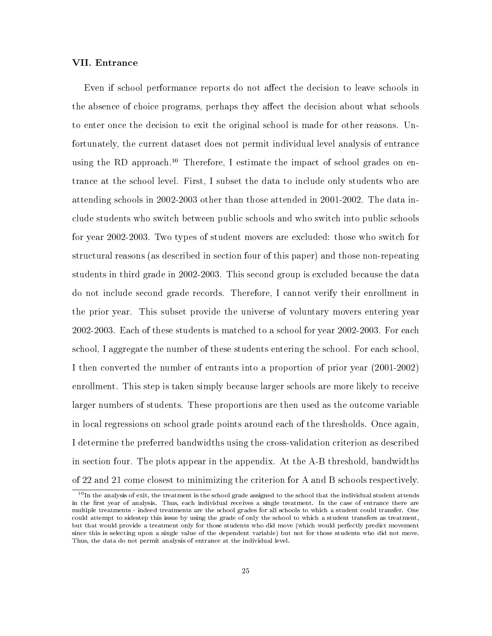### VII. Entrance

Even if school performance reports do not affect the decision to leave schools in the absence of choice programs, perhaps they affect the decision about what schools to enter once the decision to exit the original school is made for other reasons. Unfortunately, the current dataset does not permit individual level analysis of entrance using the RD approach.<sup>10</sup> Therefore, I estimate the impact of school grades on entrance at the school level. First, I subset the data to include only students who are attending schools in 2002-2003 other than those attended in 2001-2002. The data include students who switch between public schools and who switch into public schools for year 2002-2003. Two types of student movers are excluded: those who switch for structural reasons (as described in section four of this paper) and those non-repeating students in third grade in 2002-2003. This second group is excluded because the data do not include second grade records. Therefore, I cannot verify their enrollment in the prior year. This subset provide the universe of voluntary movers entering year 2002-2003. Each of these students is matched to a school for year 2002-2003. For each school, I aggregate the number of these students entering the school. For each school, I then converted the number of entrants into a proportion of prior year (2001-2002) enrollment. This step is taken simply because larger schools are more likely to receive larger numbers of students. These proportions are then used as the outcome variable in local regressions on school grade points around each of the thresholds. Once again, I determine the preferred bandwidths using the cross-validation criterion as described in section four. The plots appear in the appendix. At the A-B threshold, bandwidths of 22 and 21 come closest to minimizing the criterion for A and B schools respectively.

 $10$ In the analysis of exit, the treatment is the school grade assigned to the school that the individual student attends in the first year of analysis. Thus, each individual receives a single treatment. In the case of entrance there are multiple treatments - indeed treatments are the school grades for all schools to which a student could transfer. One could attempt to sidestep this issue by using the grade of only the school to which a student transfers as treatment, but that would provide a treatment only for those students who did move (which would perfectly predict movement since this is selecting upon a single value of the dependent variable) but not for those students who did not move. Thus, the data do not permit analysis of entrance at the individual level.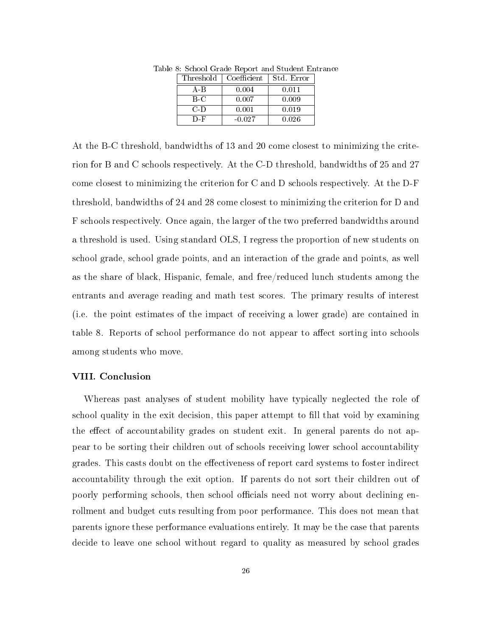| Threshold | Coefficient | Std. Error |
|-----------|-------------|------------|
| A B       | 0.004       | 0.011      |
| B-C       | 0.007       | 0.009      |
| $C-D$     | $0.001\,$   | 0.019      |
| D-F       | $-0.027$    | 0.026      |

Table 8: School Grade Report and Student Entrance

At the B-C threshold, bandwidths of 13 and 20 come closest to minimizing the criterion for B and C schools respectively. At the C-D threshold, bandwidths of 25 and 27 come closest to minimizing the criterion for C and D schools respectively. At the D-F threshold, bandwidths of 24 and 28 come closest to minimizing the criterion for D and F schools respectively. Once again, the larger of the two preferred bandwidths around a threshold is used. Using standard OLS, I regress the proportion of new students on school grade, school grade points, and an interaction of the grade and points, as well as the share of black, Hispanic, female, and free/reduced lunch students among the entrants and average reading and math test scores. The primary results of interest (i.e. the point estimates of the impact of receiving a lower grade) are contained in table 8. Reports of school performance do not appear to affect sorting into schools among students who move.

### VIII. Conclusion

Whereas past analyses of student mobility have typically neglected the role of school quality in the exit decision, this paper attempt to fill that void by examining the effect of accountability grades on student exit. In general parents do not appear to be sorting their children out of schools receiving lower school accountability grades. This casts doubt on the effectiveness of report card systems to foster indirect accountability through the exit option. If parents do not sort their children out of poorly performing schools, then school officials need not worry about declining enrollment and budget cuts resulting from poor performance. This does not mean that parents ignore these performance evaluations entirely. It may be the case that parents decide to leave one school without regard to quality as measured by school grades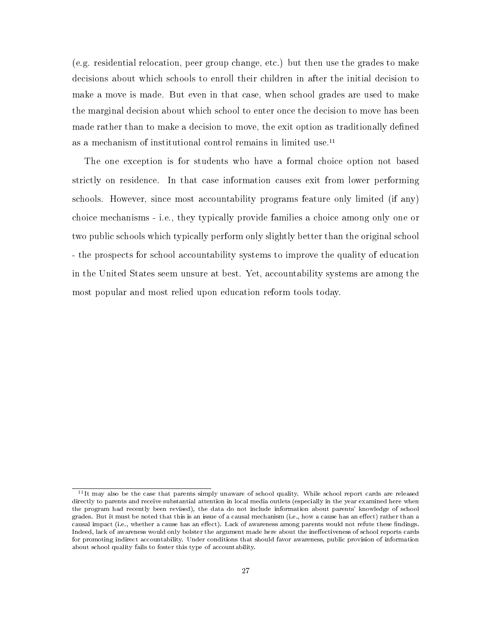(e.g. residential relocation, peer group change, etc.) but then use the grades to make decisions about which schools to enroll their children in after the initial decision to make a move is made. But even in that case, when school grades are used to make the marginal decision about which school to enter once the decision to move has been made rather than to make a decision to move, the exit option as traditionally defined as a mechanism of institutional control remains in limited use.<sup>11</sup>

The one exception is for students who have a formal choice option not based strictly on residence. In that case information causes exit from lower performing schools. However, since most accountability programs feature only limited (if any) choice mechanisms - i.e., they typically provide families a choice among only one or two public schools which typically perform only slightly better than the original school - the prospects for school accountability systems to improve the quality of education in the United States seem unsure at best. Yet, accountability systems are among the most popular and most relied upon education reform tools today.

<sup>&</sup>lt;sup>11</sup>It may also be the case that parents simply unaware of school quality. While school report cards are released directly to parents and receive substantial attention in local media outlets (especially in the year examined here when the program had recently been revised), the data do not include information about parents' knowledge of school grades. But it must be noted that this is an issue of a causal mechanism (i.e., how a cause has an effect) rather than a causal impact (i.e., whether a cause has an effect). Lack of awareness among parents would not refute these findings. Indeed, lack of awareness would only bolster the argument made here about the ineffectiveness of school reports cards for promoting indirect accountability. Under conditions that should favor awareness, public provision of information about school quality fails to foster this type of accountability.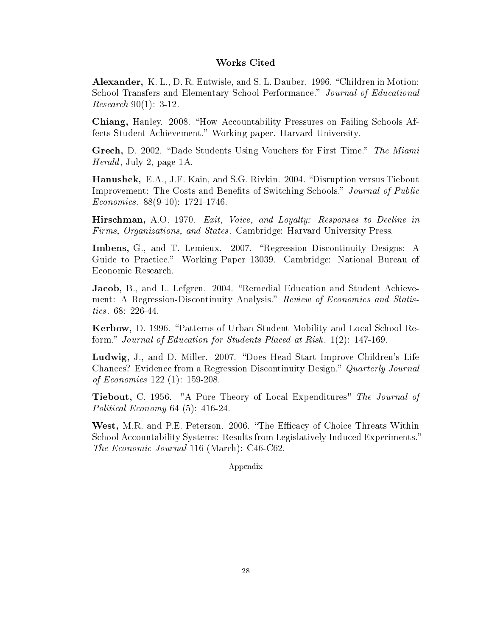## Works Cited

Alexander, K. L., D. R. Entwisle, and S. L. Dauber. 1996. "Children in Motion: School Transfers and Elementary School Performance." Journal of Educational Research 90(1): 3-12.

Chiang, Hanley. 2008. How Accountability Pressures on Failing Schools Affects Student Achievement." Working paper. Harvard University.

Grech, D. 2002. "Dade Students Using Vouchers for First Time." The Miami Herald, July 2, page 1A.

Hanushek, E.A., J.F. Kain, and S.G. Rivkin. 2004. "Disruption versus Tiebout Improvement: The Costs and Benefits of Switching Schools." Journal of Public Economics. 88(9-10): 1721-1746.

Hirschman, A.O. 1970. Exit, Voice, and Loyalty: Responses to Decline in Firms, Organizations, and States. Cambridge: Harvard University Press.

Imbens, G., and T. Lemieux. 2007. "Regression Discontinuity Designs: A Guide to Practice." Working Paper 13039. Cambridge: National Bureau of Economic Research.

Jacob, B., and L. Lefgren. 2004. "Remedial Education and Student Achievement: A Regression-Discontinuity Analysis." Review of Economics and Statistics. 68: 226-44.

Kerbow, D. 1996. "Patterns of Urban Student Mobility and Local School Reform." Journal of Education for Students Placed at Risk. 1(2): 147-169.

Ludwig, J., and D. Miller. 2007. "Does Head Start Improve Children's Life Chances? Evidence from a Regression Discontinuity Design." Quarterly Journal of Economics 122 (1): 159-208.

Tiebout, C. 1956. "A Pure Theory of Local Expenditures" The Journal of Political Economy 64 (5): 416-24.

West, M.R. and P.E. Peterson. 2006. "The Efficacy of Choice Threats Within School Accountability Systems: Results from Legislatively Induced Experiments. The Economic Journal 116 (March): C46-C62.

Appendix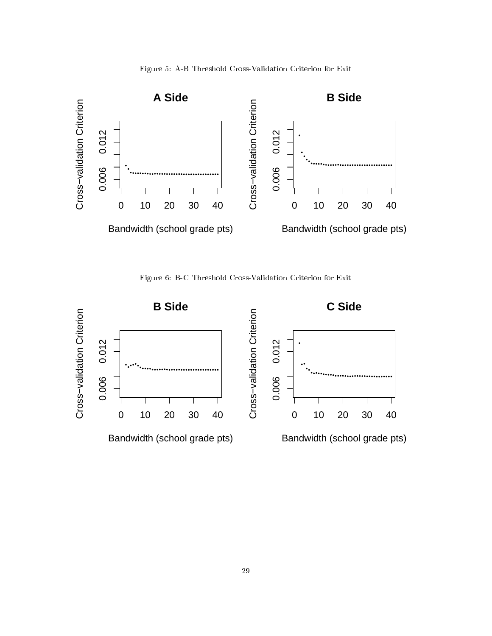



Figure 6: B-C Threshold Cross-Validation Criterion for Exit

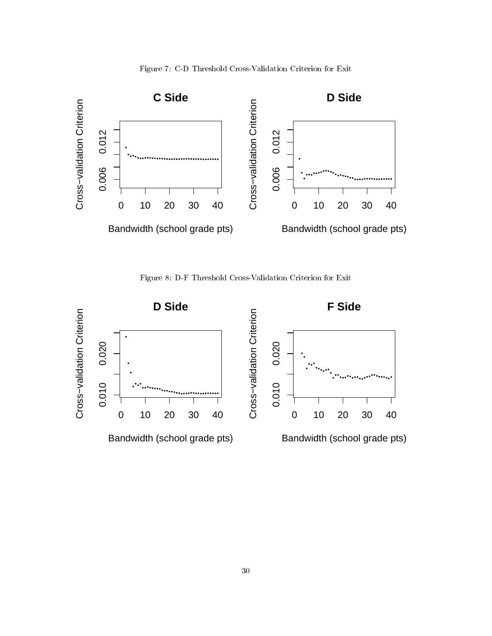



Figure 8: D-F Threshold Cross-Validation Criterion for Exit

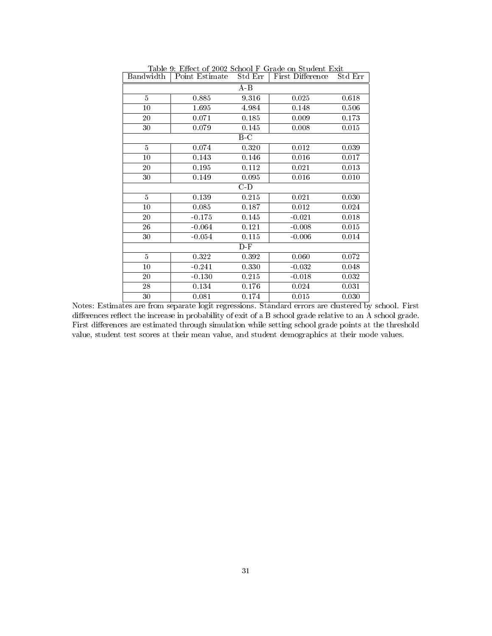| Bandwidth       | Point Estimate | Std Err | First Difference | Std Err |
|-----------------|----------------|---------|------------------|---------|
|                 |                | A-B     |                  |         |
| $\overline{5}$  | 0.885          | 9.316   | 0.025            | 0.618   |
| 10              | 1.695          | 4.984   | 0.148            | 0.506   |
| 20              | 0.071          | 0.185   | 0.009            | 0.173   |
| $30\,$          | 0.079          | 0.145   | 0.008            | 0.015   |
|                 |                | B-C     |                  |         |
| 5               | 0.074          | 0.320   | 0.012            | 0.039   |
| 10              | 0.143          | 0.146   | 0.016            | 0.017   |
| 20              | 0.195          | 0.112   | 0.021            | 0.013   |
| 30              | 0.149          | 0.095   | 0.016            | 0.010   |
|                 |                | $C-D$   |                  |         |
| $\overline{5}$  | 0.139          | 0.215   | 0.021            | 0.030   |
| $\overline{10}$ | 0.085          | 0.187   | 0.012            | 0.024   |
| 20              | $-0.175$       | 0.145   | $-0.021$         | 0.018   |
| 26              | $-0.064$       | 0.121   | $-0.008$         | 0.015   |
| $30\,$          | $-0.054$       | 0.115   | $-0.006$         | 0.014   |
|                 |                | $D-F$   |                  |         |
| $\overline{5}$  | 0.322          | 0.392   | 0.060            | 0.072   |
| 10              | $-0.241$       | 0.330   | $-0.032$         | 0.048   |
| 20              | $-0.130$       | 0.215   | $-0.018$         | 0.032   |
| 28              | 0.134          | 0.176   | 0.024            | 0.031   |
| 30              | 0.081          | 0.174   | 0.015            | 0.030   |

Table 9: Effect of 2002 School F Grade on Student Exit

Notes: Estimates are from separate logit regressions. Standard errors are clustered by school. First differences reflect the increase in probability of exit of a B school grade relative to an A school grade. First differences are estimated through simulation while setting school grade points at the threshold value, student test scores at their mean value, and student demographics at their mode values.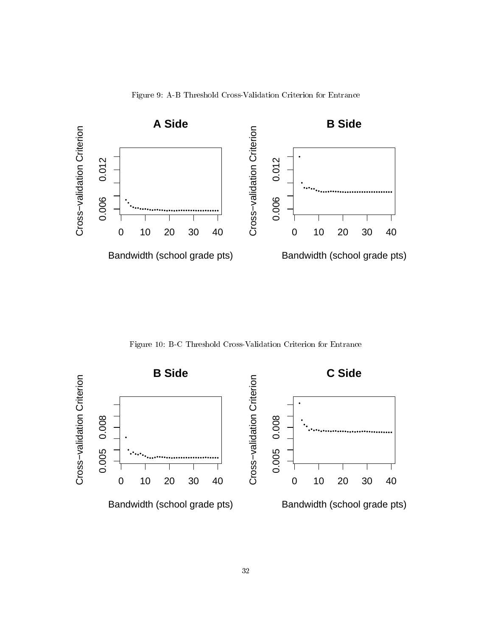

Figure 9: A-B Threshold Cross-Validation Criterion for Entrance

Figure 10: B-C Threshold Cross-Validation Criterion for Entrance